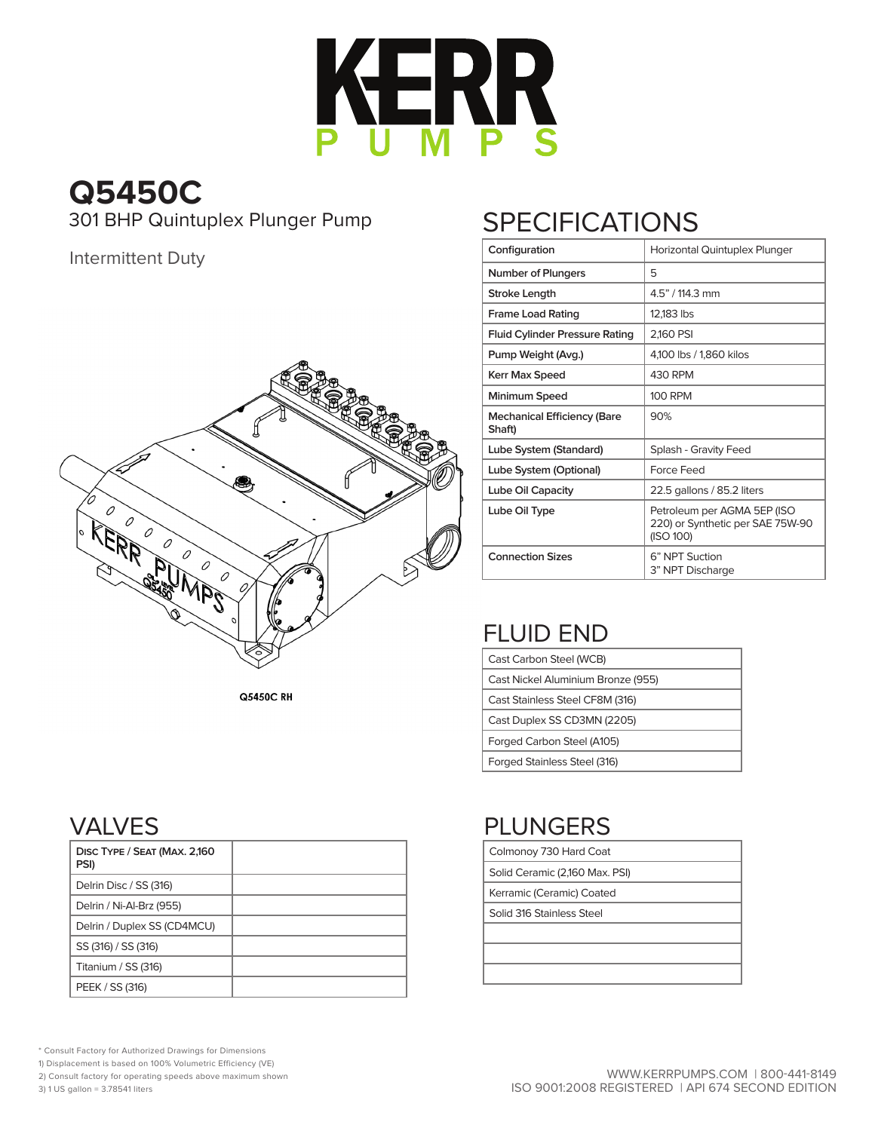

# **Q5450C**

301 BHP Quintuplex Plunger Pump SPECIFICATIONS

#### Intermittent Duty



**Q5450C RH** 

| Configuration                                | Horizontal Quintuplex Plunger                                                |
|----------------------------------------------|------------------------------------------------------------------------------|
| <b>Number of Plungers</b>                    | 5                                                                            |
| <b>Stroke Length</b>                         | 4.5" / 114.3 mm                                                              |
| <b>Frame Load Rating</b>                     | 12,183 lbs                                                                   |
| <b>Fluid Cylinder Pressure Rating</b>        | 2,160 PSI                                                                    |
| Pump Weight (Avg.)                           | 4,100 lbs / 1,860 kilos                                                      |
| <b>Kerr Max Speed</b>                        | 430 RPM                                                                      |
| Minimum Speed                                | 100 RPM                                                                      |
| <b>Mechanical Efficiency (Bare</b><br>Shaft) | 90%                                                                          |
| Lube System (Standard)                       | Splash - Gravity Feed                                                        |
| Lube System (Optional)                       | Force Feed                                                                   |
| Lube Oil Capacity                            | 22.5 gallons / 85.2 liters                                                   |
| Lube Oil Type                                | Petroleum per AGMA 5EP (ISO<br>220) or Synthetic per SAE 75W-90<br>(ISO 100) |
| <b>Connection Sizes</b>                      | 6" NPT Suction<br>3" NPT Discharge                                           |

## FLUID END

Colmonoy 730 Hard Coat Solid Ceramic (2,160 Max. PSI) Kerramic (Ceramic) Coated Solid 316 Stainless Steel

PLUNGERS

| Cast Carbon Steel (WCB)            |
|------------------------------------|
| Cast Nickel Aluminium Bronze (955) |
| Cast Stainless Steel CF8M (316)    |
| Cast Duplex SS CD3MN (2205)        |
| Forged Carbon Steel (A105)         |
| Forged Stainless Steel (316)       |

### VALVES

| DISC TYPE / SEAT (MAX. 2,160<br>PSI) |  |
|--------------------------------------|--|
| Delrin Disc / SS (316)               |  |
| Delrin / Ni-Al-Brz (955)             |  |
| Delrin / Duplex SS (CD4MCU)          |  |
| SS (316) / SS (316)                  |  |
| Titanium / SS (316)                  |  |
| PEEK / SS (316)                      |  |

\* Consult Factory for Authorized Drawings for Dimensions

1) Displacement is based on 100% Volumetric Efficiency (VE)

2) Consult factory for operating speeds above maximum shown

3) 1 US gallon = 3.78541 liters

#### WWW.KERRPUMPS.COM | 800-441-8149 ISO 9001:2008 REGISTERED | API 674 SECOND EDITION